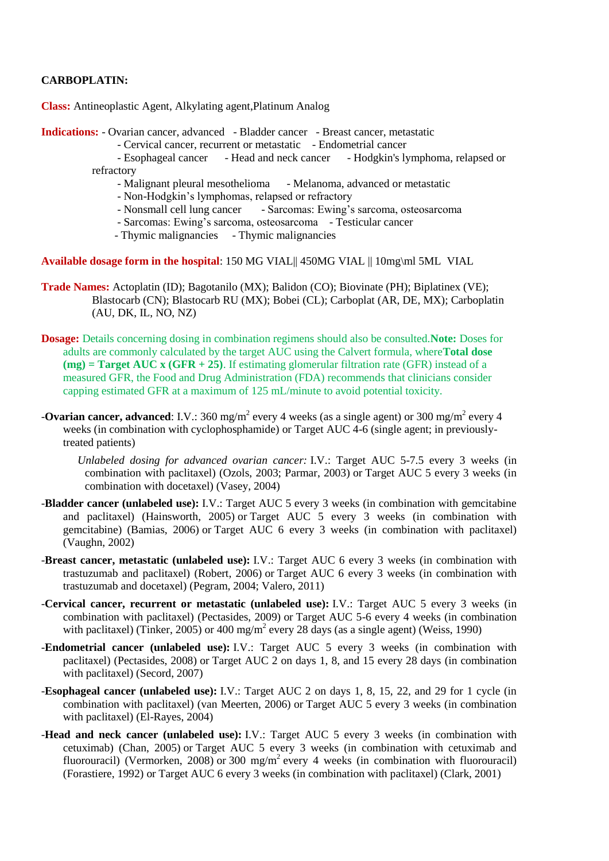# **CARBOPLATIN:**

**Class:** Antineoplastic Agent, Alkylating agent,Platinum Analog

**Indications:** - Ovarian cancer, advanced - Bladder cancer - Breast cancer, metastatic

- Cervical cancer, recurrent or metastatic - Endometrial cancer

 - Esophageal cancer - Head and neck cancer - Hodgkin's lymphoma, relapsed or refractory

- Malignant pleural mesothelioma Melanoma, advanced or metastatic
- Non-Hodgkin's lymphomas, relapsed or refractory<br>- Nonsmall cell lung cancer Sarcomas: Ewing's
- Sarcomas: Ewing's sarcoma, osteosarcoma
- Sarcomas: Ewing's sarcoma, osteosarcoma Testicular cancer
- Thymic malignancies Thymic malignancies

**Available dosage form in the hospital**: 150 MG VIAL|| 450MG VIAL || 10mg\ml 5ML VIAL

- **Trade Names:** Actoplatin (ID); Bagotanilo (MX); Balidon (CO); Biovinate (PH); Biplatinex (VE); Blastocarb (CN); Blastocarb RU (MX); Bobei (CL); Carboplat (AR, DE, MX); Carboplatin (AU, DK, IL, NO, NZ)
- **Dosage:** Details concerning dosing in combination regimens should also be consulted.**Note:** Doses for adults are commonly calculated by the target AUC using the Calvert formula, where**Total dose (mg) = Target AUC x (GFR + 25)**. If estimating glomerular filtration rate (GFR) instead of a measured GFR, the Food and Drug Administration (FDA) recommends that clinicians consider capping estimated GFR at a maximum of 125 mL/minute to avoid potential toxicity.
- **-Ovarian cancer, advanced**: I.V.: 360 mg/m<sup>2</sup> every 4 weeks (as a single agent) or 300 mg/m<sup>2</sup> every 4 weeks (in combination with cyclophosphamide) or Target AUC 4-6 (single agent; in previouslytreated patients)

*Unlabeled dosing for advanced ovarian cancer:* I.V.: Target AUC 5-7.5 every 3 weeks (in combination with paclitaxel) (Ozols, 2003; Parmar, 2003) or Target AUC 5 every 3 weeks (in combination with docetaxel) (Vasey, 2004)

- -**Bladder cancer (unlabeled use):** I.V.: Target AUC 5 every 3 weeks (in combination with gemcitabine and paclitaxel) (Hainsworth, 2005) or Target AUC 5 every 3 weeks (in combination with gemcitabine) (Bamias, 2006) or Target AUC 6 every 3 weeks (in combination with paclitaxel) (Vaughn, 2002)
- -**Breast cancer, metastatic (unlabeled use):** I.V.: Target AUC 6 every 3 weeks (in combination with trastuzumab and paclitaxel) (Robert, 2006) or Target AUC 6 every 3 weeks (in combination with trastuzumab and docetaxel) (Pegram, 2004; Valero, 2011)
- -**Cervical cancer, recurrent or metastatic (unlabeled use):** I.V.: Target AUC 5 every 3 weeks (in combination with paclitaxel) (Pectasides, 2009) or Target AUC 5-6 every 4 weeks (in combination with paclitaxel) (Tinker, 2005) or 400 mg/m<sup>2</sup> every 28 days (as a single agent) (Weiss, 1990)
- -**Endometrial cancer (unlabeled use):** I.V.: Target AUC 5 every 3 weeks (in combination with paclitaxel) (Pectasides, 2008) or Target AUC 2 on days 1, 8, and 15 every 28 days (in combination with paclitaxel) (Secord, 2007)
- -**Esophageal cancer (unlabeled use):** I.V.: Target AUC 2 on days 1, 8, 15, 22, and 29 for 1 cycle (in combination with paclitaxel) (van Meerten, 2006) or Target AUC 5 every 3 weeks (in combination with paclitaxel) (El-Rayes, 2004)
- -**Head and neck cancer (unlabeled use):** I.V.: Target AUC 5 every 3 weeks (in combination with cetuximab) (Chan, 2005) or Target AUC 5 every 3 weeks (in combination with cetuximab and fluorouracil) (Vermorken, 2008) or 300 mg/m<sup>2</sup> every 4 weeks (in combination with fluorouracil) (Forastiere, 1992) or Target AUC 6 every 3 weeks (in combination with paclitaxel) (Clark, 2001)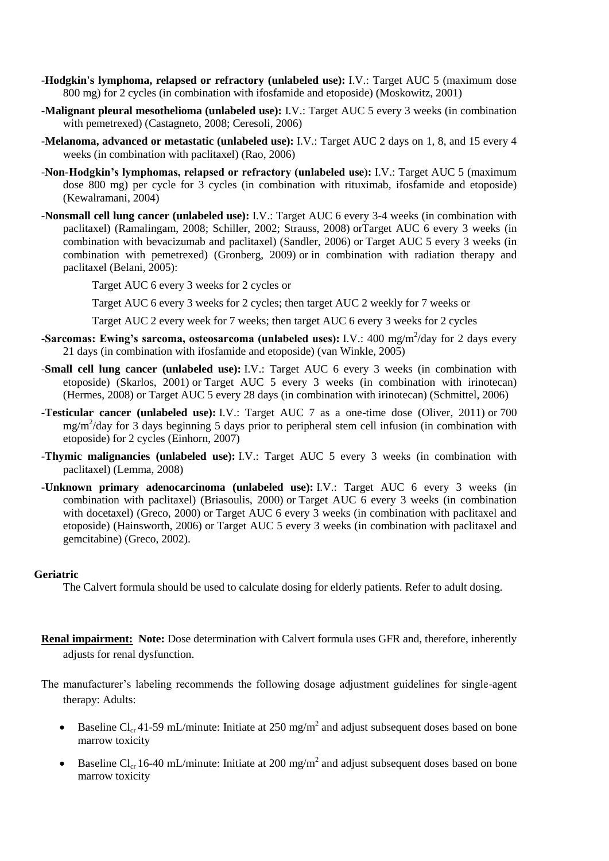- -**Hodgkin's lymphoma, relapsed or refractory (unlabeled use):** I.V.: Target AUC 5 (maximum dose 800 mg) for 2 cycles (in combination with ifosfamide and etoposide) (Moskowitz, 2001)
- **-Malignant pleural mesothelioma (unlabeled use):** I.V.: Target AUC 5 every 3 weeks (in combination with pemetrexed) (Castagneto, 2008; Ceresoli, 2006)
- **-Melanoma, advanced or metastatic (unlabeled use):** I.V.: Target AUC 2 days on 1, 8, and 15 every 4 weeks (in combination with paclitaxel) (Rao, 2006)
- -**Non-Hodgkin's lymphomas, relapsed or refractory (unlabeled use):** I.V.: Target AUC 5 (maximum dose 800 mg) per cycle for 3 cycles (in combination with rituximab, ifosfamide and etoposide) (Kewalramani, 2004)
- -**Nonsmall cell lung cancer (unlabeled use):** I.V.: Target AUC 6 every 3-4 weeks (in combination with paclitaxel) (Ramalingam, 2008; Schiller, 2002; Strauss, 2008) orTarget AUC 6 every 3 weeks (in combination with bevacizumab and paclitaxel) (Sandler, 2006) or Target AUC 5 every 3 weeks (in combination with pemetrexed) (Gronberg, 2009) or in combination with radiation therapy and paclitaxel (Belani, 2005):

Target AUC 6 every 3 weeks for 2 cycles or

Target AUC 6 every 3 weeks for 2 cycles; then target AUC 2 weekly for 7 weeks or

Target AUC 2 every week for 7 weeks; then target AUC 6 every 3 weeks for 2 cycles

- -Sarcomas: Ewing's sarcoma, osteosarcoma (unlabeled uses): I.V.: 400 mg/m<sup>2</sup>/day for 2 days every 21 days (in combination with ifosfamide and etoposide) (van Winkle, 2005)
- -**Small cell lung cancer (unlabeled use):** I.V.: Target AUC 6 every 3 weeks (in combination with etoposide) (Skarlos, 2001) or Target AUC 5 every 3 weeks (in combination with irinotecan) (Hermes, 2008) or Target AUC 5 every 28 days (in combination with irinotecan) (Schmittel, 2006)
- -**Testicular cancer (unlabeled use):** I.V.: Target AUC 7 as a one-time dose (Oliver, 2011) or 700 mg/m<sup>2</sup>/day for 3 days beginning 5 days prior to peripheral stem cell infusion (in combination with etoposide) for 2 cycles (Einhorn, 2007)
- -**Thymic malignancies (unlabeled use):** I.V.: Target AUC 5 every 3 weeks (in combination with paclitaxel) (Lemma, 2008)
- **-Unknown primary adenocarcinoma (unlabeled use):** I.V.: Target AUC 6 every 3 weeks (in combination with paclitaxel) (Briasoulis, 2000) or Target AUC 6 every 3 weeks (in combination with docetaxel) (Greco, 2000) or Target AUC 6 every 3 weeks (in combination with paclitaxel and etoposide) (Hainsworth, 2006) or Target AUC 5 every 3 weeks (in combination with paclitaxel and gemcitabine) (Greco, 2002).

#### **Geriatric**

The Calvert formula should be used to calculate dosing for elderly patients. Refer to adult dosing.

- **Renal impairment: Note:** Dose determination with Calvert formula uses GFR and, therefore, inherently adjusts for renal dysfunction.
- The manufacturer's labeling recommends the following dosage adjustment guidelines for single-agent therapy: Adults:
	- Baseline Cl<sub>cr</sub> 41-59 mL/minute: Initiate at 250 mg/m<sup>2</sup> and adjust subsequent doses based on bone marrow toxicity
	- Baseline Cl<sub>cr</sub> 16-40 mL/minute: Initiate at 200 mg/m<sup>2</sup> and adjust subsequent doses based on bone marrow toxicity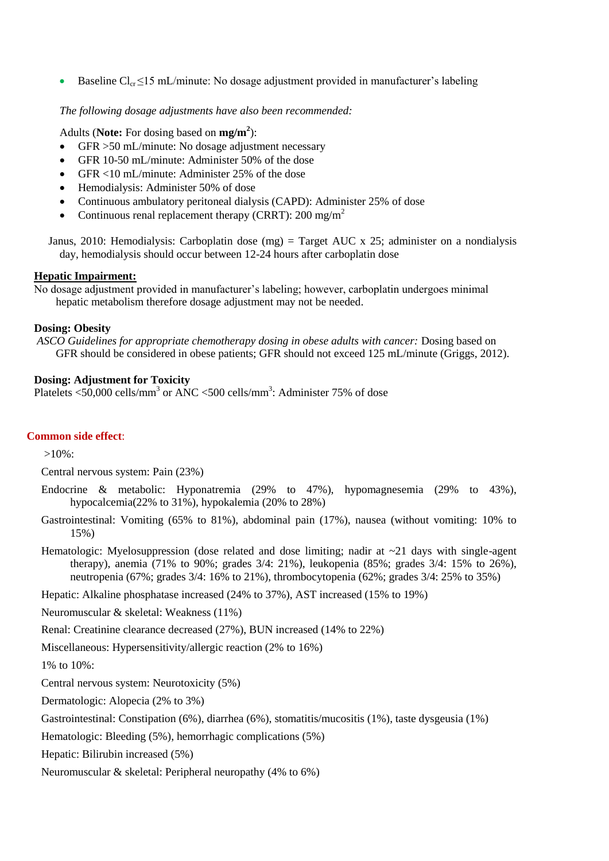Baseline  $Cl_{cr} \leq 15 \text{ mL/minute}$ : No dosage adjustment provided in manufacturer's labeling

*The following dosage adjustments have also been recommended:*

Adults (**Note:** For dosing based on **mg/m<sup>2</sup>** ):

- GFR > 50 mL/minute: No dosage adjustment necessary
- GFR 10-50 mL/minute: Administer 50% of the dose
- GFR <10 mL/minute: Administer 25% of the dose
- Hemodialysis: Administer 50% of dose
- Continuous ambulatory peritoneal dialysis (CAPD): Administer 25% of dose
- Continuous renal replacement therapy (CRRT):  $200 \text{ mg/m}^2$

Janus, 2010: Hemodialysis: Carboplatin dose (mg) = Target AUC x 25; administer on a nondialysis day, hemodialysis should occur between 12-24 hours after carboplatin dose

### **Hepatic Impairment:**

No dosage adjustment provided in manufacturer's labeling; however, carboplatin undergoes minimal hepatic metabolism therefore dosage adjustment may not be needed.

### **Dosing: Obesity**

*ASCO Guidelines for appropriate chemotherapy dosing in obese adults with cancer:* Dosing based on GFR should be considered in obese patients; GFR should not exceed 125 mL/minute (Griggs, 2012).

# **Dosing: Adjustment for Toxicity**

Platelets  $\langle 50,000 \text{ cells/mm}^3 \text{ or ANC } \langle 500 \text{ cells/mm}^3 \rangle$ : Administer 75% of dose

### **Common side effect**:

>10%:

Central nervous system: Pain (23%)

- Endocrine & metabolic: Hyponatremia (29% to 47%), hypomagnesemia (29% to 43%), hypocalcemia(22% to 31%), hypokalemia (20% to 28%)
- Gastrointestinal: Vomiting (65% to 81%), abdominal pain (17%), nausea (without vomiting: 10% to 15%)
- Hematologic: Myelosuppression (dose related and dose limiting; nadir at  $\sim$ 21 days with single-agent therapy), anemia (71% to 90%; grades 3/4: 21%), leukopenia (85%; grades 3/4: 15% to 26%), neutropenia (67%; grades 3/4: 16% to 21%), thrombocytopenia (62%; grades 3/4: 25% to 35%)

Hepatic: Alkaline phosphatase increased (24% to 37%), AST increased (15% to 19%)

Neuromuscular & skeletal: Weakness (11%)

Renal: Creatinine clearance decreased (27%), BUN increased (14% to 22%)

Miscellaneous: Hypersensitivity/allergic reaction (2% to 16%)

1% to 10%:

Central nervous system: Neurotoxicity (5%)

Dermatologic: Alopecia (2% to 3%)

Gastrointestinal: Constipation (6%), diarrhea (6%), stomatitis/mucositis (1%), taste dysgeusia (1%)

Hematologic: Bleeding (5%), hemorrhagic complications (5%)

Hepatic: Bilirubin increased (5%)

Neuromuscular & skeletal: Peripheral neuropathy (4% to 6%)